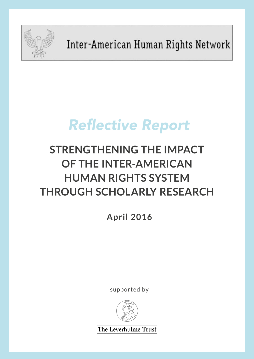

Inter-American Human Rights Network

# **Reflective Report**

# **STRENGTHENING THE IMPACT OF THE INTER-AMERICAN HUMAN RIGHTS SYSTEM THROUGH SCHOLARLY RESEARCH**

**April 2016**

supported by



The Leverhulme Trust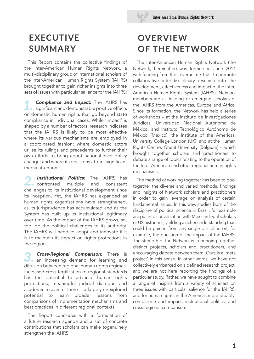## **EXECUTIVE SUMMARY**

This Report contains the collective fndings of the Inter-American Human Rights Network, a multi-disciplinary group of international scholars of the Inter-American Human Rights System (IAHRS) brought together to gain richer insights into three sets of issues with particular salience for the IAHRS:

**1. Compliance and Impact:** The IAHRS has significant and demonstrable positive effects on domestic human rights that go beyond state compliance in individual cases. While 'impact' is shaped by a number of factors, research indicates that the IAHRS is likely to be most effective where its various mechanisms are employed in a coordinated fashion; where domestic actors utilise its rulings and precedents to further their own efforts to bring about national-level policy change; and where its decisions attract significant media attention.

**Institutional Politics:** The IAHRS has confronted multiple and consistent  $\blacktriangle$  confronted challenges to its institutional development since its inception. Yet, the IAHRS has expanded as human rights organisations have strengthened, as its jurisprudence has accumulated and as the System has built up its institutional legitimacy over time. As the impact of the IAHRS grows, so, too, do the political challenges to its authority. The IAHRS will need to adapt and innovate if it is to maintain its impact on rights protections in the region.

**3. Cross-Regional Comparison:** There is an increasing demand for learning and diffusion between regional human rights regimes. Increased cross-fertilization of regional standards has the potential to advance human rights protections, meaningful judicial dialogue and academic research. There is a largely unexplored potential to learn broader lessons from comparisons of implementation mechanisms and best practices in different regional contexts.

The Report concludes with a formulation of a future research agenda and a set of concrete contributions that scholars can make togenuinely strengthen the IAHRS.

# **OVERVIEW OF THE NETWORK**

The Inter-American Human Rights Network (the Network, hereinafter) was formed in June 2014 with funding from the Leverhulme Trust to promote collaborative inter-disciplinary research into the development, effectiveness and impact of the Inter-American Human Rights System (IAHRS). Network members are all leading or emerging scholars of the IAHRS from the Americas, Europe and Africa. Since its formation, the Network has held a series of workshops – at the Instituto de Investigaciones Jurídicas, Universidad Nacional Autónoma de México, and Instituto Tecnológico Autónomo de México (Mexico); the Institute of the Americas, University College London (UK); and at the Human Rights Centre, Ghent University (Belgium) – which brought together scholars and practitioners to debate a range of topics relating to the operation of the Inter-American and other regional human rights mechanisms.

The method of working together has been to pool together the diverse and varied methods, findings and insights of Network scholars and practitioners in order to gain leverage on analysis of certain fundamental issues. In this way, studies born of the discipline of political science in Brazil, for example are put into conversation with Mexican legal scholars or US historians, yielding a richer understanding than could be gained from any single discipline on, for example, the question of the impact of the IAHRS. The strength of the Network is in bringing together distinct projects, scholars and practitioners, and encouraging debate between them. Ours is a 'meta project' in this sense. In other words, we have not collectively embarked on a defned research project, and we are not here reporting the findings of a particular study. Rather, we have sought to combine a range of insights from a variety of scholars on three issues with particular salience for the IAHRS, and for human rights in the Americas more broadly: compliance and impact; institutional politics; and cross-regional comparison.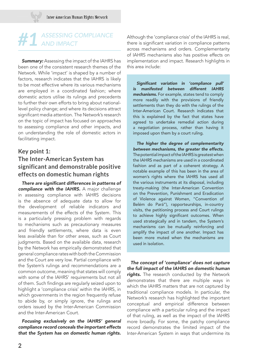# **#1** ASSESSING COMPLIANCE

**Summary:** Assessing the impact of the IAHRS has been one of the consistent research themes of the Network. While 'impact' is shaped by a number of factors, research indicates that the IAHRS is likely to be most effective where its various mechanisms are employed in a coordinated fashion; where domestic actors utilise its rulings and precedents to further their own efforts to bring about nationallevel policy change; and where its decisions attract significant media attention. The Network's research on the topic of impact has focused on approaches to assessing compliance and other impacts, and on understanding the role of domestic actors in facilitating impact.

## **Key point 1: The Inter-American System has significant and demonstrable positive effects on domestic human rights**

There are significant differences in patterns of compliance with the IAHRS. A major challenge in assessing compliance with IAHRS decisions is the absence of adequate data to allow for the development of reliable indicators and measurements of the effects of the System. This is a particularly pressing problem with regards to mechanisms such as precautionary measures and friendly settlements, where data is even less available than for other areas, such as Court judgments. Based on the available data, research by the Network has empirically demonstrated that general compliance rates with both the Commission and the Court are very low. Partial compliance with the System's rulings and recommendations are a common outcome, meaning that states will comply with some of the IAHRS' requirements but not all of them. Such findings are regularly seized upon to highlight a 'compliance crisis' within the IAHRS, in which governments in the region frequently refuse to abide by, or simply ignore, the rulings and orders issued by the Inter-American Commission and the Inter-American Court.

Focusing exclusively on the IAHRS' general compliance record conceals the important effects that the System has on domestic human rights.

Although the 'compliance crisis' of the IAHRS is real, there is significant variation in compliance patterns across mechanisms and orders. Complementarity of IAHRS mechanisms also has positive effects on implementation and impact. Research highlights in this area include:

Significant variation in 'compliance pull' is manifested between different IAHRS mechanisms. For example, states tend to comply more readily with the provisions of friendly settlements than they do with the rulings of the Inter-American Court. Research indicates that this is explained by the fact that states have agreed to undertake remedial action during a negotiation process, rather than having it imposed upon them by a court ruling.

The higher the degree of complementarity between mechanisms, the greater the effects. The potential impact of the IAHRS is greatest when the IAHRS mechanisms are used in a coordinated fashion and as part of a coherent strategy. A notable example of this has been in the area of women's rights where the IAHRS has used all the various instruments at its disposal, including treaty-making (the Inter-American Convention on the Prevention, Punishment and Eradication of Violence against Women, "Convention of Belém do Pará"), rapporteurships, in-country visits, the petitioning process and Court rulings to achieve highly significant outcomes. When used strategically and in tandem, the System's mechanisms can be mutually reinforcing and amplify the impact of one another. Impact has been more muted when the mechanisms are used in isolation.

The concept of 'compliance' does not capture the full impact of the IAHRS on domestic human rights. The research conducted by the Network demonstrates that there are multiple ways in which the IAHRS matters that are not captured by traditional compliance models. In particular, the Network's research has highlighted the important conceptual and empirical difference between compliance with a particular ruling and the impact of that ruling, as well as the impact of the IAHRS more broadly. For some, the patchy compliance record demonstrates the limited impact of the Inter-American System in ways that undermine its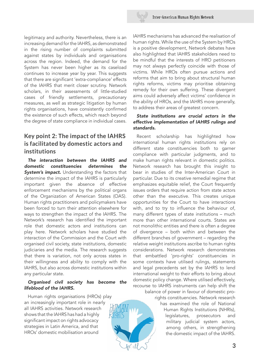

legitimacy and authority. Nevertheless, there is an increasing demand for the IAHRS, as demonstrated in the rising number of complaints submitted against states by individuals and organisations across the region. Indeed, the demand for the System has never been higher as its caseload continues to increase year by year. This suggests that there are significant 'extra-compliance' effects of the IAHRS that merit closer scrutiny. Network scholars, in their assessments of little-studied cases of friendly settlements, precautionary measures, as well as strategic litigation by human rights organisations, have consistently confrmed the existence of such effects, which reach beyond the degree of state compliance in individual cases.

## **Key point 2: The impact of the IAHRS is facilitated by domestic actors and institutions**

The interaction between the IAHRS and domestic constituencies determines the **System's impact.** Understanding the factors that determine the impact of the IAHRS is particularly important given the absence of effective enforcement mechanisms by the political organs of the Organization of American States (OAS). Human rights practitioners and policymakers have been forced to turn their attention elsewhere for ways to strengthen the impact of the IAHRS. The Network's research has identifed the important role that domestic actors and institutions can play here. Network scholars have studied the interaction of the Commission and the Court with organised civil society, state institutions, domestic judiciaries and the media. The research suggests that there is variation, not only across states in their willingness and ability to comply with the IAHRS, but also across domestic institutions within any particular state.

#### Organised civil society has become the lifeblood of the IAHRS.

Human rights organisations (HROs) play an increasingly important role in nearly all IAHRS activities. Network research shows that the IAHRS has had a highly significant impact on rights advocacy strategies in Latin America, and that HROs' domestic mobilisation around

IAHRS mechanisms has advanced the realisation of human rights. While the use of the System by HROs is a positive development, Network debates have also highlighted that IAHRS stakeholders need to be mindful that the interests of HRO petitioners may not always perfectly coincide with those of victims. While HROs often pursue actions and reforms that aim to bring about structural human rights reforms, victims may prioritise obtaining remedy for their own suffering. These divergent aims could adversely affect victims' confidence in the ability of HROs, and the IAHRS more generally, to address their areas of greatest concern.

#### State institutions are crucial actors in the effective implementation of IAHRS rulings and standards.

Recent scholarship has highlighted how international human rights institutions rely on different state constituencies both to garner compliance with particular judgments, and to make human rights relevant in domestic politics. Network research has brought this insight to bear in studies of the Inter-American Court in particular. Due to its creative remedial regime that emphasizes equitable relief, the Court frequently issues orders that require action from state actors other than the executive. This creates unique opportunities for the Court to have interactions with, and to try to infuence the behaviour of, many different types of state institutions – much more than other international courts. States are not monolithic entities and there is often a degree of divergence – both within and between the different branches of government – regarding the relative weight institutions ascribe to human rights considerations. Network research demonstrates that embattled 'pro-rights' constituencies in some contexts have utilised rulings, statements and legal precedents set by the IAHRS to lend international weight to their efforts to bring about domestic policy change. Where utilised effectively, recourse to IAHRS instruments can help shift the

balance of power in favour of domestic prorights constituencies. Network research

> has examined the role of National Human Rights Institutions (NHRIs), legislatures, prosecutors and military judicial system actors, among others, in strengthening the domestic impact of the IAHRS.

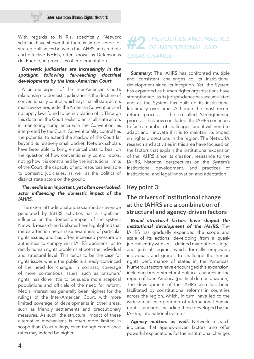With regards to NHRIs, specifically, Network scholars have shown that there is ample scope for strategic alliances between the IAHRS and credible and effective NHRIs, often known as Defensorias del Pueblo, in processes of implementation.

#### Domestic judiciaries are increasingly in the spotlight following far-reaching doctrinal developments by the Inter-American Court.

A unique aspect of the Inter-American Court's relationship to domestic judiciaries is the doctrine of conventionality control, which says that all state actors must review laws under the American Convention, and not apply laws found to be in violation of it. Through this doctrine, the Court seeks to enlist all state actors in monitoring compliance with the Convention, as interpreted by the Court. Conventionality control has the potential to extend the shadow of the Court far beyond its relatively small docket. Network scholars have been able to bring empirical data to bear on the question of how conventionality control works, noting how it is constrained by the institutional limits of the Court, the capacity of and resources available to domestic judiciaries, as well as the politics of distinct state actors on the ground.

#### The media is an important, yet often overlooked, actor infuencing the domestic impact of the IAHRS.

The extent of traditional and social media coverage generated by IAHRS activities has a significant infuence on the domestic impact of the system. Network research and debates have highlighted that media attention helps raise awareness of particular rights issues, and has often increased pressure on authorities to comply with IAHRS decisions, or to rectify human rights problems at both the individual and structural level. This tends to be the case for rights issues where the public is already convinced of the need for change. In contrast, coverage of more contentious issues, such as prisoners' rights, has done little to persuade more sceptical populations and officials of the need for reform. Media interest has generally been highest for the rulings of the Inter-American Court, with more limited coverage of developments in other areas, such as friendly settlements and precautionary measures. As such, the structural impact of these alternative mechanisms is often more limited in scope than Court rulings, even though compliance rates may indeed be higher.

# **#2** THE POLITICS AND PRACTICE OF INSTITUTIONAL AND LEGAL CHANGE

**Summary:** The IAHRS has confronted multiple and consistent challenges to its institutional development since its inception. Yet, the System has expanded as human rights organisations have strengthened, as its jurisprudence has accumulated and as the System has built up its institutional legitimacy over time. Although the most recent reform process – the so-called 'strengthening process' – has now concluded, the IAHRS continues to face a number of challenges, and it will need to adapt and innovate if it is to maintain its impact on rights protections in the region. The Network's research and activities in this area have focused on the factors that explain the institutional expansion of the IAHRS since its creation, resistance to the IAHRS, historical perspectives on the System's institutional development, and practices of institutional and legal innovation and adaptation.

#### **Key point 3:**

### **The drivers of institutional change at the IAHRS are a combination of structural and agency-driven factors**

Broad structural factors have shaped the institutional development of the IAHRS. The IAHRS has gradually expanded the scope and scale of its actions, developing from a quasijudicial entity with an ill-defined mandate to a legal and judicial regime, which formally empowers individuals and groups to challenge the human rights performance of states in the Americas. Numerous factors have encouraged this expansion, including broad structural political changes in the region of Latin America (political democratization). The development of the IAHRS also has been facilitated by constitutional reforms in countries across the region, which, in turn, have led to the widespread incorporation of international human rights standards, including those developed by the IAHRS, into national systems.

Agency matters as well. Network research indicates that agency-driven factors also offer powerful explanations for the institutional changes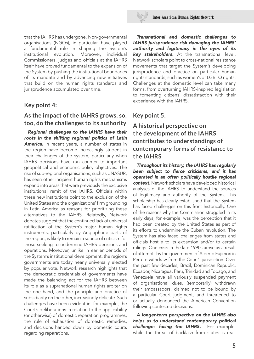

that the IAHRS has undergone. Non-governmental organisations (NGOs), in particular, have played a fundamental role in shaping the System's institutional evolution. Moreover, individual Commissioners, judges and officials at the IAHRS itself have proved fundamental to the expansion of the System by pushing the institutional boundaries of its mandate and by advancing new initiatives that build on the human rights standards and jurisprudence accumulated over time.

#### **Key point 4:**

#### **As the impact of the IAHRS grows, so, too, do the challenges to its authority**

Regional challenges to the IAHRS have their roots in the shifting regional politics of Latin America. In recent years, a number of states in the region have become increasingly strident in their challenges of the system, particularly when IAHRS decisions have run counter to important geopolitical and economic policy objectives. The rise of sub-regional organisations, such as UNASUR, has seen other incipient human rights mechanisms expand into areas that were previously the exclusive institutional remit of the IAHRS. Officials within these new institutions point to the exclusion of the United States and the organizations' firm grounding in Latin America as reasons for prioritizing these alternatives to the IAHRS. Relatedly, Network debates suggest that the continued lack of universal ratifcation of the System's major human rights instruments, particularly by Anglophone parts of the region, is likely to remain a source of criticism for those seeking to undermine IAHRS decisions and operations. Moreover, unlike in earlier periods of the System's institutional development, the region's governments are today nearly universally elected by popular vote. Network research highlights that the democratic credentials of governments have made the balancing act for the IAHRS between its role as a supranational human rights arbiter on the one hand, and the principle and practice of subsidiarity on the other, increasingly delicate. Such challenges have been evident in, for example, the Court's deliberations in relation to the applicability (or otherwise) of domestic reparation programmes, the rule of exhaustion of domestic remedies, and decisions handed down by domestic courts regarding reparations.

Transnational and domestic challenges to IAHRS jurisprudence risk damaging the IAHRS' authority and legitimacy in the eyes of its key stakeholders. At the transnational level, Network scholars point to cross-national resistance movements that target the System's developing jurisprudence and practice on particular human rights standards, such as women's or LGBTQ rights. Challenges at the domestic level can take many forms, from overturning IAHRS-inspired legislation to fomenting citizens' dissatisfaction with their experience with the IAHRS.

### **Key point 5:**

## **A historical perspective on the development of the IAHRS contributes to understandings of contemporary forms of resistance to the IAHRS**

Throughout its history, the IAHRS has regularly been subject to fierce criticisms, and it has operated in an often politically hostile regional context. Network scholars have developed historical analyses of the IAHRS to understand the sources of legitimacy and authority of the System. This scholarship has clearly established that the System has faced challenges on this front historically. One of the reasons why the Commission struggled in its early days, for example, was the perception that it had been created by the United States as part of its efforts to undermine the Cuban revolution. The System has also faced challenges from states and officials hostile to its expansion and/or to certain rulings. One crisis in the late 1990s arose as a result of attempts by the government of Alberto Fujimori in Peru to withdraw from the Court's jurisdiction. Over the past few decades, Brazil, Dominican Republic, Ecuador, Nicaragua, Peru, Trinidad and Tobago, and Venezuela have all variously suspended payment of organisational dues, (temporarily) withdrawn their ambassadors, claimed not to be bound by a particular Court judgment, and threatened to or actually denounced the American Convention following contested decisions.

A longer-term perspective on the IAHRS also helps us to understand contemporary political challenges facing the IAHRS. For example, while the threat of backlash from states is real.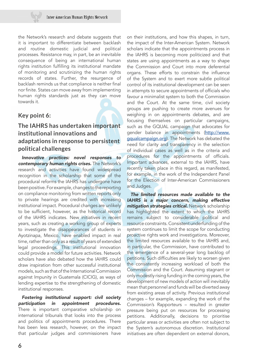the Network's research and debate suggests that it is important to differentiate between backlash and routine domestic judicial and political processes. Resistance may, in part, be an inevitable consequence of being an international human rights institution fulflling its institutional mandate of monitoring and scrutinizing the human rights records of states. Further, the resurgence of backlash reminds us that compliance is neither final nor finite. States can move away from implementing human rights standards just as they can move towards it.

#### **Key point 6:**

## **The IAHRS has undertaken important institutional innovations and adaptations in response to persistent political challenges**

Innovative practices: novel responses to contemporary human rights crises. The Network's research and activities have found widespread recognition in the scholarship that some of the procedural reforms the IAHRS has undergone have been positive. For example, changes to the reporting on compliance monitoring from written reports only to private hearings are credited with increasing institutional impact. Procedural changes are unlikely to be sufficient, however, as the historical record of the IAHRS indicates. New initiatives in recent years, such as creating a working group of experts to investigate the disappearances of students in Ayotzinapa, Mexico, have enabled impact in real time, rather than only as a result of years of extended legal proceedings. This institutional innovation could provide a model for future activities. Network scholars have also debated how the IAHRS could draw inspiration from other successful institutional models, such as that of the International Commission against Impunity in Guatemala (CICIG), as ways of lending expertise to the strengthening of domestic institutional responses.

Fostering institutional support: civil society participation in appointment procedures. There is important comparative scholarship on international tribunals that looks into the process and politics of appointments procedures. There has been less research, however, on the impact that particular judges and commissioners have

on their institutions, and how this shapes, in turn, the impact of the Inter-American System. Network scholars indicate that the appointments process in the IAHRS is becoming more politicized and that states are using appointments as a way to shape the Commission and Court into more deferential organs. These efforts to constrain the infuence of the System and to exert more subtle political control of its institutional development can be seen in attempts to secure appointments of officials who favour a minimalist system to both the Commission and the Court. At the same time, civil society groups are pushing to create more avenues for weighing in on appointments debates, and are focusing themselves on particular campaigns, such as the GQUAL campaign that advocates for gender balance in appointments ([http://www.](http://www.gqualcampaign.org) [gqualcampaign.org](http://www.gqualcampaign.org)). The Network has debated the need for clarity and transparency in the selection of individual cases as well as in the criteria and procedures for the appointments of officials. Important advances, external to the IAHRS, have recently taken place in this regard, as manifested, for example, in the work of the Independent Panel for the Election of Inter-American Commissioners and Judges.

The limited resources made available to the IAHRS is a major concern, making effective mitigation strategies critical. Network scholarship has highlighted the extent to which the IAHRS remains subject to considerable political and resource constraints. Consistent underfunding of the system continues to limit the scope for conducting proactive rights work and investigations. Moreover, the limited resources available to the IAHRS and, in particular, the Commission, have contributed to the emergence of a several-year long backlog of petitions. Such difficulties are likely to worsen given the consistently increasing workload of both the Commission and the Court. Assuming stagnant or only modestly rising funding in the coming years, the development of new models of action will inevitably mean that personnel and funds will be diverted away from existing areas of activity. Previous institutional changes – for example, expanding the work of the Commission's Rapporteurs – resulted in greater pressure being put on resources for processing petitions. Additionally, decisions to prioritise particular areas or activities are often not subject to the System's autonomous discretion. Institutional initiatives are often dependent on external donors,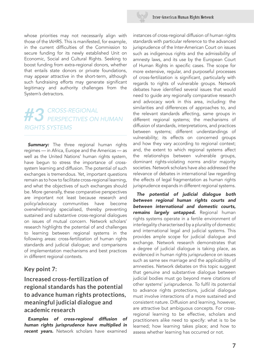

whose priorities may not necessarily align with those of the IAHRS. This is manifested, for example, in the current difficulties of the Commission to secure funding for its newly established Unit on Economic, Social and Cultural Rights. Seeking to boost funding from extra-regional donors, whether that entails state donors or private foundations, may appear attractive in the short-term, although such fundraising efforts may generate significant legitimacy and authority challenges from the System's detractors.

# **#3** CROSS-REGIONAL PERSPECTIVES ON HUMAN RIGHTS SYSTEMS

**Summary:** The three regional human rights regimes — in Africa, Europe and the Americas — as well as the United Nations' human rights system, have begun to stress the importance of crosssystem learning and diffusion. The potential of such exchanges is tremendous. Yet, important questions remain as to how to facilitate cross-regional learning, and what the objectives of such exchanges should be. More generally, these comparative perspectives are important not least because research and policy/advocacy communities have become overwhelmingly specialised, thereby preventing sustained and substantive cross-regional dialogues on issues of mutual concern. Network scholars' research highlights the potential of and challenges to learning between regional systems in the following areas: cross-fertilization of human rights standards and judicial dialogue; and comparisons of implementation mechanisms and best practices in different regional contexts.

#### **Key point 7:**

**Increased cross-fertilization of regional standards has the potential to advance human rights protections, meaningful judicial dialogue and academic research**

Examples of cross-regional diffusion of human rights jurisprudence have multiplied in recent years. Network scholars have examined

instances of cross-regional diffusion of human rights standards with particular reference to the advanced jurisprudence of the Inter-American Court on issues such as indigenous rights and the admissibility of amnesty laws, and its use by the European Court of Human Rights in specific cases. The scope for more extensive, regular, and purposeful processes of cross-fertilization is significant, particularly with regards to rights of vulnerable groups. Network debates have identifed several issues that would need to guide any regionally comparative research and advocacy work in this area, including: the similarities and differences of approaches to, and the relevant standards affecting, same groups in different regional systems; the mechanisms of diffusion of standards, interpretations, and practices between systems; different understandings of vulnerability; its effects on concerned groups and how they vary according to regional context; and, the extent to which regional systems affect the relationships between vulnerable groups, dominant rights-violating norms and/or majority societies. Network scholars have also addressed the relevance of debates in international law regarding the effects of legal fragmentation as human rights jurisprudence expands in different regional systems.

The potential of judicial dialogue both between regional human rights courts and between international and domestic courts, remains largely untapped. Regional human rights systems operate in a fertile environment of interlegality characterised by a plurality of domestic and international legal and judicial systems. This provides ample scope for judicial dialogue and exchange. Network research demonstrates that a degree of judicial dialogue is taking place, as evidenced in human rights jurisprudence on issues such as same sex marriage and the applicability of amnesties. Network debates on this topic suggest that genuine and substantive dialogue between judicial bodies must go beyond mere citations of other systems' jurisprudence. To fulfl its potential to advance rights protections, judicial dialogue must involve interactions of a more sustained and consistent nature. Diffusion and learning, however, are attractive but ambiguous concepts. For crossregional learning to be effective, scholars and practitioners alike need to specify: what is to be learned; how learning takes place; and how to assess whether learning has occurred or not.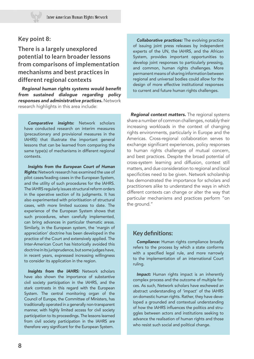#### **Key point 8:**

## **There is a largely unexplored potential to learn broader lessons from comparisons of implementation mechanisms and best practices in different regional contexts**

Regional human rights systems would benefit from sustained dialogue regarding policy responses and administrative practices. Network research highlights in this area include:

Comparative insights: Network scholars have conducted research on interim measures (precautionary and provisional measures in the IAHRS) that illustrate the important general lessons that can be learned from comparing the same type(s) of mechanisms in different regional contexts.

Insights from the European Court of Human **Rights:** Network research has examined the use of pilot cases/leading cases in the European System, and the utility of such procedures for the IAHRS. The IAHRS regularly issues structural reform orders in the operative section of its judgments. It has also experimented with prioritisation of structural cases, with more limited success to date. The experience of the European System shows that such procedures, when carefully implemented, can bring advances in particular thematic areas. Similarly, in the European system, the 'margin of appreciation' doctrine has been developed in the practice of the Court and extensively applied. The Inter-American Court has historically avoided this doctrine in its jurisprudence, but some judges have, in recent years, expressed increasing willingness to consider its application in the region.

Insights from the IAHRS: Network scholars have also shown the importance of substantive civil society participation in the IAHRS, and the stark contrasts in this regard with the European System. The central monitoring organ of the Council of Europe, the Committee of Ministers, has traditionally operated in a generally non-transparent manner, with highly limited access for civil society participation to its proceedings. The lessons learned from civil society participation in the IAHRS are therefore very significant for the European System.

**Collaborative practices:** The evolving practice of issuing joint press releases by independent experts of the UN, the IAHRS, and the African System, provides important opportunities to develop joint responses to particularly pressing, and common, human rights challenges. More permanent means of sharing information between regional and universal bodies could allow for the design of more effective institutional responses to current and future human rights challenges.

**Regional context matters.** The regional systems share a number of common challenges, notably their increasing workloads in the context of changing rights environments, particularly in Europe and the Americas. Cross-regional collaboration serves to exchange significant experiences, policy responses to human rights challenges of mutual concern, and best practices. Despite the broad potential of cross-system learning and diffusion, context still matters, and due consideration to regional and local specificities need to be given. Network scholarship has demonstrated the importance for scholars and practitioners alike to understand the ways in which different contexts can change or alter the way that particular mechanisms and practices perform "on the ground."

#### **Key defnitions:**

**Compliance:** Human rights compliance broadly refers to the process by which a state conforms with a specified legal rule, and more narrowly to the implementation of an international Court ruling.

Impact: Human rights impact is an inherently complex process and the outcome of multiple forces. As such, Network scholars have eschewed an abstract understanding of 'impact' of the IAHRS on domestic human rights. Rather, they have developed a grounded and contextual understanding of how the IAHRS infuences the politics and struggles between actors and institutions seeking to advance the realisation of human rights and those who resist such social and political change.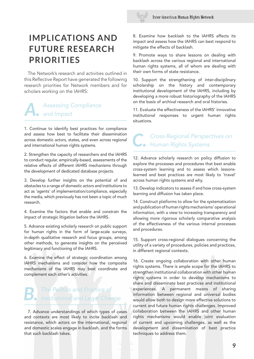

# **IMPLICATIONS AND FUTURE RESEARCH PRIORITIES**

The Network's research and activities outlined in this Refective Report have generated the following research priorities for Network members and for scholars working on the IAHRS:

## **Assessing Compliance** and Impact

1. Continue to identify best practices for compliance and assess how best to facilitate their dissemination across domestic actors, states, and even across regional and international human rights systems.

2. Strengthen the capacity of researchers and the IAHRS to conduct regular, empirically-based, assessments of the relative effects of different IAHRS mechanisms through the development of dedicated database projects.

3. Develop further insights on the potential of and obstacles to a range of domestic actors and institutions to act as 'agents' of implementation/compliance, especially the media, which previously has not been a topic of much research.

4. Examine the factors that enable and constrain the impact of strategic litigation before the IAHRS.

5. Advance existing scholarly research on public support for human rights in the form of large-scale surveys, in-depth qualitative research and focus groups, among other methods, to generate insights on the perceived legitimacy and functioning of the IAHRS.

6. Examine the effect of strategic coordination among IAHRS mechanisms and consider how the composite mechanisms of the IAHRS may best coordinate and complement each other's activities.

# **B.** The Politics and Practice of Institutional and Legal Change

7. Advance understandings of which types of cases and contexts are most likely to incite backlash and resistance, which actors on the international, regional and domestic scales engage in backlash, and the forms that such backlash takes.

8. Examine how backlash to the IAHRS affects its impact and assess how the IAHRS can best respond to mitigate the effects of backlash.

9. Promote ways to share lessons on dealing with backlash across the various regional and international human rights systems, all of whom are dealing with their own forms of state resistance.

10. Support the strengthening of inter-disciplinary scholarship on the history and contemporary institutional development of the IAHRS, including by developing a more robust historiography of the IAHRS on the basis of archival research and oral histories.

11. Evaluate the effectiveness of the IAHRS' innovative institutional responses to urgent human rights situations.

# *C.* Cross-Regional Perspectives on Human Rights Systems

12. Advance scholarly research on policy diffusion to explore the processes and procedures that best enable cross-system learning and to assess which lessonslearned and best practices are most likely to 'travel' across human rights systems and why.

13. Develop indicators to assess if and how cross-system learning and diffusion has taken place.

14. Construct platforms to allow for the systematisation and publication of human rights mechanisms' operational information, with a view to increasing transparency and allowing more rigorous scholarly comparative analysis of the effectiveness of the various internal processes and procedures.

15. Support cross-regional dialogues concerning the utility of a variety of procedures, policies and practices, in different regional contexts.

16. Create ongoing collaboration with other human rights systems. There is ample scope for the IAHRS to strengthen institutional collaboration with other human rights systems in order to develop mechanisms to share and disseminate best practices and institutional experiences. A permanent means of sharing information between regional and universal bodies would allow both to design more effective solutions to current and future human rights challenges. Improved collaboration between the IAHRS and other human rights mechanisms would enable joint evaluation of current and upcoming challenges, as well as the development and dissemination of best practice techniques to address them.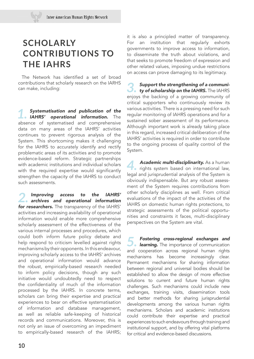# **SCHOLARLY CONTRIBUTIONS TO THE IAHRS**

The Network has identifed a set of broad contributions that scholarly research on the IARHS can make, including:

**1.** Systematisation and publication of the **IAHRS'** operational information. The absence of systematised and comprehensive data on many areas of the IAHRS' activities continues to prevent rigorous analysis of the System. This shortcoming makes it challenging for the IAHRS to accurately identify and rectify problematic areas of its activities and to promote evidence-based reform. Strategic partnerships with academic institutions and individual scholars with the required expertise would significantly strengthen the capacity of the IAHRS to conduct such assessments.

2. Improving access to the IAHRS'<br>archives and operational information for researchers. The transparency of the IAHRS' activities and increasing availability of operational information would enable more comprehensive scholarly assessment of the effectiveness of the various internal processes and procedures, which could both inform future policy debate and help respond to criticism levelled against rights mechanisms by their opponents. In this endeavour, improving scholarly access to the IAHRS' archives and operational information would advance the robust, empirically-based research needed to inform policy decisions, though any such initiative would undoubtedly need to respect the confidentiality of much of the information processed by the IAHRS. In concrete terms, scholars can bring their expertise and practical experiences to bear on effective systematisation of information and database management, as well as reliable safe-keeping of historical records and communications. Moreover, this is not only an issue of overcoming an impediment to empirically-based research of the IAHRS;

it is also a principled matter of transparency. For an institution that regularly exhorts governments to improve access to information, to disseminate the truth about violations, and that seeks to promote freedom of expression and other related values, imposing undue restrictions on access can prove damaging to its legitimacy.

**3. Support the strengthening of a communi-**<br> **ty of scholarship on the IAHRS.** The IAHRS enjoys the backing of a growing community of critical supporters who continuously review its various activities. There is a pressing need for such regular monitoring of IAHRS operations and for a sustained sober assessment of its performance. Although important work is already taking place in this regard, increased critical deliberation of the IAHRS' activities is required in order to contribute to the ongoing process of quality control of the System.

**4. Academic multi-disciplinarity.** As a human rights system based on international law, legal and jurisprudential analysis of the System is obviously indispensable. But any robust assessment of the System requires contributions from other scholarly disciplines as well. From critical evaluations of the impact of the activities of the IAHRS on domestic human rights protections, to strategic assessments of the political opportunities and constraints it faces, multi-disciplinary perspectives on the System are vital.

**5. Fostering cross-regional exchanges and learning.** The importance of communication and cooperation across regional human rights mechanisms has become increasingly clear. Permanent mechanisms for sharing information between regional and universal bodies should be established to allow the design of more effective solutions to current and future human rights challenges. Such mechanisms could include new exchanges, training visits, dissemination tools and better methods for sharing jurisprudential developments among the various human rights mechanisms. Scholars and academic institutions could contribute their expertise and practical experiences to such endeavours through training and institutional support, and by offering vital platforms for critical and evidence-based discussions.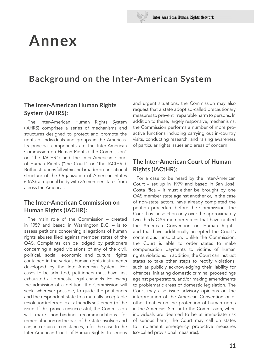# **Annex**

## **Background on the Inter-American System**

### **The Inter-American Human Rights System (IAHRS):**

The Inter-American Human Rights System (IAHRS) comprises a series of mechanisms and structures designed to protect and promote the rights of individuals and groups in the Americas. Its principal components are the Inter-American Commission on Human Rights ("the Commission" or "the IACHR") and the Inter-American Court of Human Rights ("the Court" or "the IACtHR"). Both institutions fall within the broader organisational structure of the Organization of American States (OAS); a regional body with 35 member states from across the Americas.

### **The Inter-American Commission on Human Rights (IACHR):**

The main role of the Commission – created in 1959 and based in Washington D.C. – is to assess petitions concerning allegations of human rights abuses fled against member states of the OAS. Complaints can be lodged by petitioners concerning alleged violations of any of the civil, political, social, economic and cultural rights contained in the various human rights instruments developed by the Inter-American System. For cases to be admitted, petitioners must have first exhausted all domestic legal channels. Following the admission of a petition, the Commission will seek, wherever possible, to guide the petitioners and the respondent state to a mutually acceptable resolution (referred to as a friendly settlement) of the issue. If this proves unsuccessful, the Commission will make non-binding recommendations for remedial action on the part of the state involved and can, in certain circumstances, refer the case to the Inter-American Court of Human Rights. In serious

and urgent situations, the Commission may also request that a state adopt so-called precautionary measures to prevent irreparable harm to persons. In addition to these, largely responsive, mechanisms, the Commission performs a number of more proactive functions including carrying out in-country visits, conducting research, and raising awareness of particular rights issues and areas of concern.

## **The Inter-American Court of Human Rights (IACtHR):**

For a case to be heard by the Inter-American Court – set up in 1979 and based in San José, Costa Rica – it must either be brought by one OAS member state against another or, in the case of non-state actors, have already completed the petition procedure before the Commission. The Court has jurisdiction only over the approximately two-thirds OAS member states that have ratifed the American Convention on Human Rights, and that have additionally accepted the Court's contentious jurisdiction. Unlike the Commission, the Court is able to order states to make compensation payments to victims of human rights violations. In addition, the Court can instruct states to take other steps to rectify violations, such as publicly acknowledging their liability for offences, initiating domestic criminal proceedings against perpetrators, and/or making amendments to problematic areas of domestic legislation. The Court may also issue advisory opinions on the interpretation of the American Convention or of other treaties on the protection of human rights in the Americas. Similar to the Commission, when individuals are deemed to be at immediate risk of serious harm, the Court may call on states to implement emergency protective measures (so-called provisional measures).